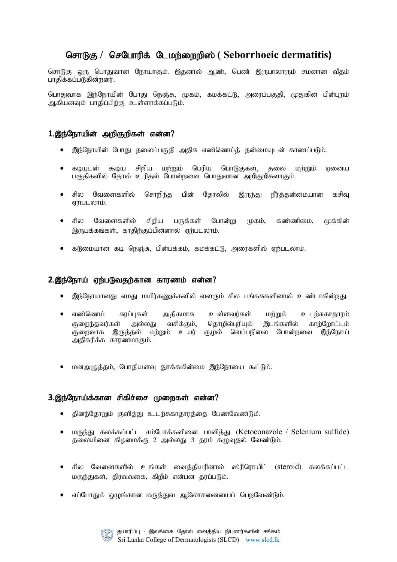# **சொடுகு / செபோரிக் டேமற்றைறிஸ் ( Seborrhoeic dermatitis)**

சொடுகு ஒரு பொதுவான நோயாகும். இதனால் ஆண், பெண் இருபாலாரும் சமனான வீதம் பாதிக்கப்படுகின்றனர்.

பொதுவாக இந்நோயின் போது நெஞ்சு, முகம், கமக்கட்டு, அரைப்பகுதி, முதுகின் பின்புறம் ஆகியனவும் பாதிப்பிற்கு உள்ளாக்கப்படும்.

### 1.இந்நோயின் அறிகுறிகள் என்ன?

- இந்நோயின் போது தலைப்பகுதி அதிக எண்ணெய்த் தன்மையுடன் காணப்படும்.
- $\bullet$  கடியுடன் கூடிய சிறிய மற்றும் பெரிய பொடுகுகள், தலை மற்றும் ஏனைய பகுதிகளில் தோல் உரிதல் போன்றவை பொதுவான அறிகுறிகளாகும்.
- சில வேளைகளில் சொறிந்த பின் தோலில் இருந்து நீர்த்தன்மையான கசிவு ஏற்படலாம்.
- சில வேளைகளில் சிறிய பருக்கள் போன்று முகம், கண்ணிமை, மூக்கின் இருபக்கங்கள், காதிற்குப்பின்னால் ஏற்படலாம்.
- கடுமையான கடி நெஞ்சு, பின்பக்கம், கமக்கட்டு, அரைகளில் ஏற்படலாம்.

#### 2.இந்நோய் ஏற்படுவதற்கான காரணம் என்ன?

- இந்நோயானது எமது மயிர்கணுக்களில் வளரும் சில பங்கசுகளினால் உண்டாகின்றது.
- $\bullet$  எண்ணெய் சுரப்புகள் அதிகமாக உள்ளவர்கள் மற்றும் உடற்சுகாதாரம் குறைந்தவர்கள் அல்லது வசிக்கும், தொழில்புரியும் இடங்களில் காற்றோட்டம் குறைவாக இருத்தல் மற்றும் உயர் சூழல் வெப்பநிலை போன்றவை இந்நோய் அதிகரிக்க காரணமாகும்.
- மனஅழுத்தம், போதியளவு தூக்கமின்மை இந்நோயை கூட்டும்.

#### 3.இந்நோய்க்கான சிகிச்சை முறைகள் என்ன?

- தினந்தோறும் குளித்து உடற்சுகாதாரத்தை பேணவேண்டும்.
- மருந்து கலக்கப்பட்ட சம்போக்களினை பாவித்து (Ketoconazole / Selenium sulfide) தலையினை கிழமைக்கு 2 அல்லது 3 தரம் கழுவுதல் வேண்டும்.
- சில வேளைகளில் உங்கள் வைத்தியரினால் ஸ்ரிரொயிட் (steroid) கலக்கப்பட்ட மருந்துகள், திரவவகை, கிறீம் என்பன தரப்படும்.
- எப்போதும் ஒழுங்கான மருத்துவ ஆலோசனையைப் பெறவேண்டும்.